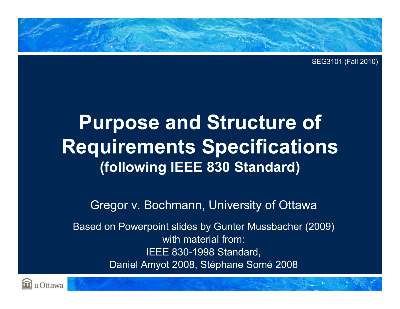

SEG3101 (Fall 2010)

# **Purpose and Structure of Requirements Specifications (following IEEE 830 Standard)**

Gregor v. Bochmann, University of Ottawa

Based on Powerpoint slides by Gunter Mussbacher (2009) with material from:IEEE 830-1998 Standard, Daniel Amyot 2008, Stéphane Somé 2008

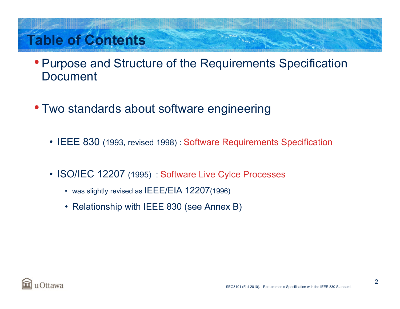# **Table of Contents**

- Purpose and Structure of the Requirements Specification Document
- Two standards about software engineering
	- IEEE 830 (1993, revised 1998) : Software Requirements Specification
	- ISO/IEC 12207 (1995) : Software Live Cylce Processes
		- was slightly revised as  $IEEE/E$ IA 12207(1996)
		- Relationship with IEEE 830 (see Annex B)

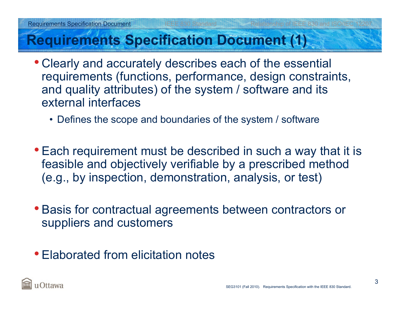#### **Requirements Specification Document (1)**

- Clearly and accurately describes each of the essential requirements (functions, performance, design constraints, and quality attributes) of the system / software and its external interfaces
	- Defines the scope and boundaries of the system / software
- Each requirement must be described in such a way that it is feasible and objectively verifiable by a prescribed method (e.g., by inspection, demonstration, analysis, or test)
- Basis for contractual agreements between contractors or suppliers and customers
- Elaborated from elicitation notes

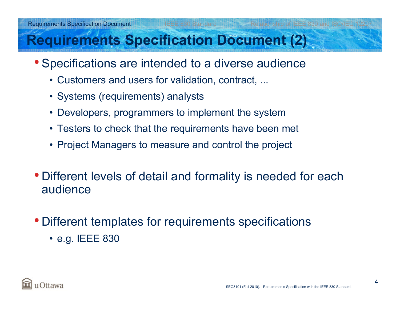#### **Requirements Specification Document (2)**

- Specifications are intended to a diverse audience
	- Customers and users for validation, contract, ...
	- Systems (requirements) analysts
	- Developers, programmers to implement the system
	- Testers to check that the requirements have been met
	- Project Managers to measure and control the project
- Different levels of detail and formality is needed for each audience
- Different templates for requirements specifications
	- e.g. IEEE 830

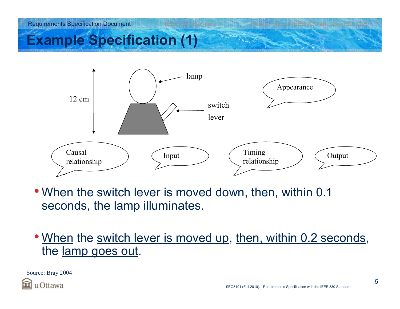

### **Example Specification (1)**



- When the switch lever is moved down, then, within 0.1 seconds, the lamp illuminates.
- <u>When</u> the <u>switch lever is moved up, then, within 0.2 seconds</u>, the lamp goes out.

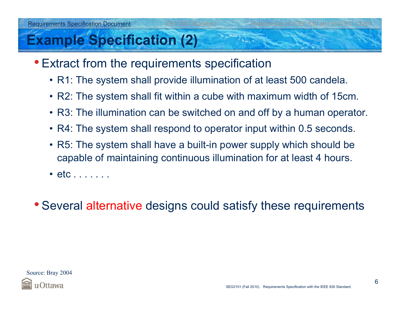#### **Example Specification (2)**

- Extract from the requirements specification
	- R1: The system shall provide illumination of at least 500 candela.
	- R2: The system shall fit within a cube with maximum width of 15cm.
	- R3: The illumination can be switched on and off by a human operator.
	- R4: The system shall respond to operator input within 0.5 seconds.
	- R5: The system shall have a built-in power supply which should be capable of maintaining continuous illumination for at least 4 hours.
	- etc . . . . . . .
- Several alternative designs could satisfy these requirements

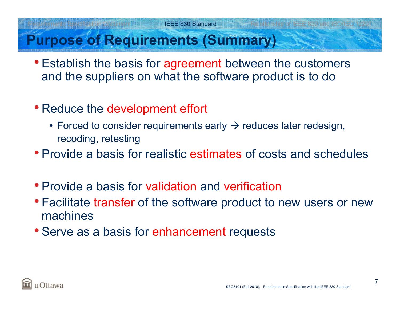#### **Purpose of Requirements (Summary)**

- Establish the basis for agreement between the customers and the suppliers on what the software product is to do
- Reduce the development effort
	- Forced to consider requirements early  $\rightarrow$  reduces later redesign, recoding, retesting
- Provide a basis for realistic estimates of costs and schedules
- Provide a basis for validation and verification
- Facilitate transfer of the software product to new users or new machines
- Serve as a basis for enhancement requests

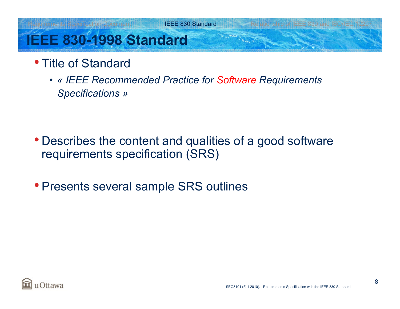IEEE 830 Standard Relationship of IEEE 830 and ISO/IEC 1220

# **IEEE 830-1998 Standard**

- Title of Standard
	- *« IEEE Recommended Practice for Software Requirements Specifications »*

- Describes the content and qualities of a good software requirements specification (SRS)
- Presents several sample SRS outlines

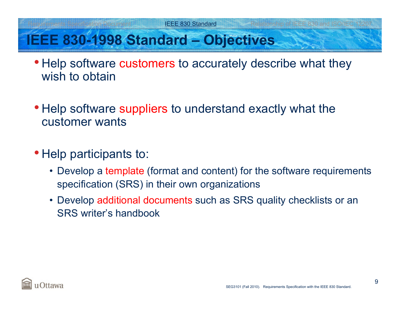### **IEEE 830-1998 Standard – Objectives**

- Help software customers to accurately describe what they wish to obtain
- Help software suppliers to understand exactly what the customer wants
- Help participants to:
	- Develop a template (format and content) for the software requirements specification (SRS) in their own organizations
	- Develop additional documents such as SRS quality checklists or an SRS writer's handbook

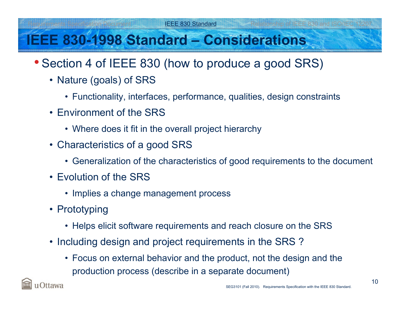### **IEEE 830-1998 Standard – Considerations**

- Section 4 of IEEE 830 (how to produce a good SRS)
	- Nature (goals) of SRS
		- Functionality, interfaces, performance, qualities, design constraints
	- Environment of the SRS
		- Where does it fit in the overall project hierarchy
	- Characteristics of a good SRS
		- Generalization of the characteristics of good requirements to the document
	- Evolution of the SRS
		- Implies a change management process
	- Prototyping
		- Helps elicit software requirements and reach closure on the SRS
	- Including design and project requirements in the SRS ?
		- Focus on external behavior and the product, not the design and the production process (describe in a separate document)

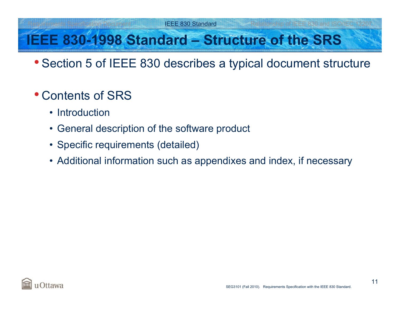#### ation Document<sup>al Repu</sup>llence Same IEEE 830 Standard Relationship of IEEE 830 and ISO/IEC 1220

# **IEEE 830-1998 Standard – Structure of the SRS**

- Section 5 of IEEE 830 describes a typical document structure
- Contents of SRS
	- Introduction
	- General description of the software product
	- Specific requirements (detailed)
	- Additional information such as appendixes and index, if necessary

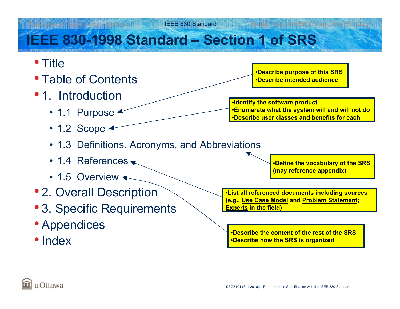#### Relation Document Internal IEEE 830 Standard Relationship of IEEE 830 and ISO/IEC 1220

## **IEEE 830-1998 Standard – Section 1 of SRS**

- Title
- Table of Contents
- 1. Introduction
	- 1.1 Purpose
	- 1.2 Scope
	- 1.3 Definitions. Acronyms, and Abbreviations
	- 1.4 References
	- 1.5 Overview
- 2. Overall Description
- 3. Specific Requirements
- Appendices
- Index

•**Describe purpose of this SRS** •**Describe intended audience**

•**Identify the software product** •**Enumerate what the system will and will not do** •**Describe user classes and benefits for each**

•**Define the vocabulary of the SRS (may reference appendix)**

•**List all referenced documents including sources (e.g., Use Case Model and Problem Statement; Experts in the field)**

•**Describe the content of the rest of the SRS**•**Describe how the SRS is organized**

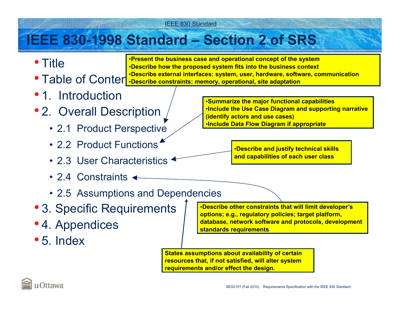#### Relation Document **IEEE 830 Standard IEEE 830 Relationship of IEEE 830 and ISO/IEC 1220**

#### **IEEE 830-1998 Standard – Section 2 of SRS**

• Title

• Table of Content *Describe external interfaces: system, user, hardware, solver* •**Present the business case and operational concept of the system** •**Describe how the proposed system fits into the business context** •**Describe external interfaces: system, user, hardware, software, communication**

- 1. Introduction
- 2. Overall Description
	- 2.1 Product Perspective
	- 2.2 Product Functions
	- 2.3 User Characteristics
	- 2.4 Constraints
	- 2.5 Assumptions and Dependencies
- 3. Specific Requirements
- 4. Appendices
- 5. Index

•**Summarize the major functional capabilities** •**Include the Use Case Diagram and supporting narrative (identify actors and use cases)** •**Include Data Flow Diagram if appropriate**

> •**Describe and justify technical skills and capabilities of each user class**

•**Describe other constraints that will limit developer's options; e.g., regulatory policies; target platform, database, network software and protocols, development standards requirements**

**States assumptions about availability of certain resources that, if not satisfied, will alter system requirements and/or effect the design.**

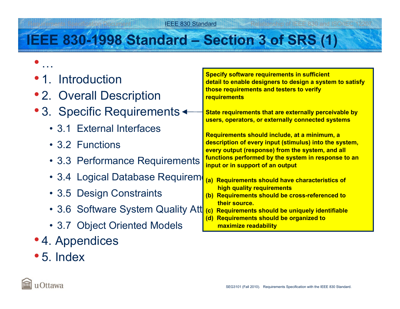#### eation Document IEEE 830 Standard Relationship of IEEE 830 and ISO/IEC 12207

### **IEEE 830-1998 Standard – Section 3 of SRS (1)**

| • 1. Introduction                 | <b>Specify software requirements in sufficient</b><br>detail to enable designers to design a system to satisfy |  |
|-----------------------------------|----------------------------------------------------------------------------------------------------------------|--|
| • 2. Overall Description          | those requirements and testers to verify<br><b>requirements</b>                                                |  |
| • 3. Specific Requirements <      | State requirements that are externally perceivable by<br>users, operators, or externally connected systems     |  |
| • 3.1 External Interfaces         | Requirements should include, at a minimum, a                                                                   |  |
| • 3.2 Functions                   | description of every input (stimulus) into the system,<br>every output (response) from the system, and all     |  |
| • 3.3 Performance Requirements    | functions performed by the system in response to an<br>input or in support of an output                        |  |
| • 3.4 Logical Database Requirem   | (a) Requirements should have characteristics of                                                                |  |
| • 3.5 Design Constraints          | high quality requirements<br><b>Requirements should be cross-referenced to</b><br>(b)                          |  |
| • 3.6 Software System Quality Att | Requirements should be uniquely identifiable<br>(c)                                                            |  |
| • 3.7 Object Oriented Models      | maximize readability                                                                                           |  |
|                                   | their source.<br><b>Requirements should be organized to</b><br>(d)                                             |  |

- 4. Appendices
- 5. Index

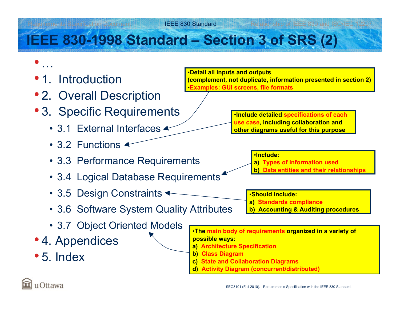#### ements Specification Document **IEEE 830 Standard Inc. According Professionship of IEEE 830 and ISO/IEC 1220**7

# **IEEE 830-1998 Standard – Section 3 of SRS (2)**

• 1. Introduction

•

…

- 2. Overall Description
- 3. Specific Requirements
	- 3.1 External Interfaces
	- 3.2 Functions
	- 3.3 Performance Requirements
	- 3.4 Logical Database Requirements
	- 3.5 Design Constraints
	- 3.6 Software System Quality Attributes
	- 3.7 Object Oriented Models
- 4. Appendices
- 5. Index

•**Detail all inputs and outputs (complement, not duplicate, information presented in section 2)** •**Examples: GUI screens, file formats**

> •**Include detailed specifications of each use case, including collaboration and other diagrams useful for this purpose**

> > •**Include:**

- **a) Types of information used**
- **b) Data entities and their relationships**

•**Should include:**

- **a) Standards compliance**
- **b) Accounting & Auditing procedures**

•**The main body of requirements organized in a variety of possible ways: a) Architecture Specification b) Class Diagram**

- **c) State and Collaboration Diagrams**
- **d) Activity Diagram (concurrent/distributed)**

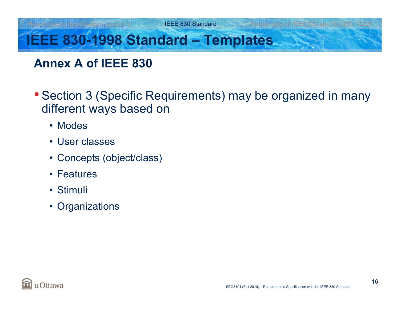# **IEEE 830-1998 Standard – Templates**

#### **Annex A of IEEE 830**

- Section 3 (Specific Requirements) may be organized in many different ways based on
	- Modes
	- User classes
	- Concepts (object/class)
	- Features
	- Stimuli
	- Organizations

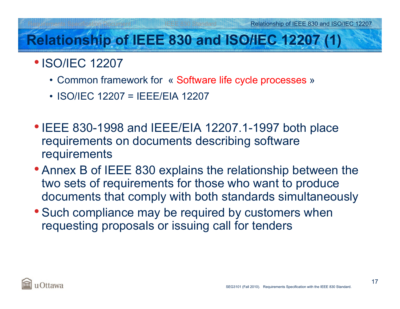# **Relationship of IEEE 830 and ISO/IEC 12207 (1)**

- **ISO/IEC 12207** 
	- Common framework for « Software life cycle processes »
	- ISO/IEC 12207 = IEEE/EIA 12207
- IEEE 830-1998 and IEEE/EIA 12207.1-1997 both place requirements on documents describing software requirements
- Annex B of IEEE 830 explains the relationship between the two sets of requirements for those who want to produce documents that comply with both standards simultaneously
- Such compliance may be required by customers when requesting proposals or issuing call for tenders